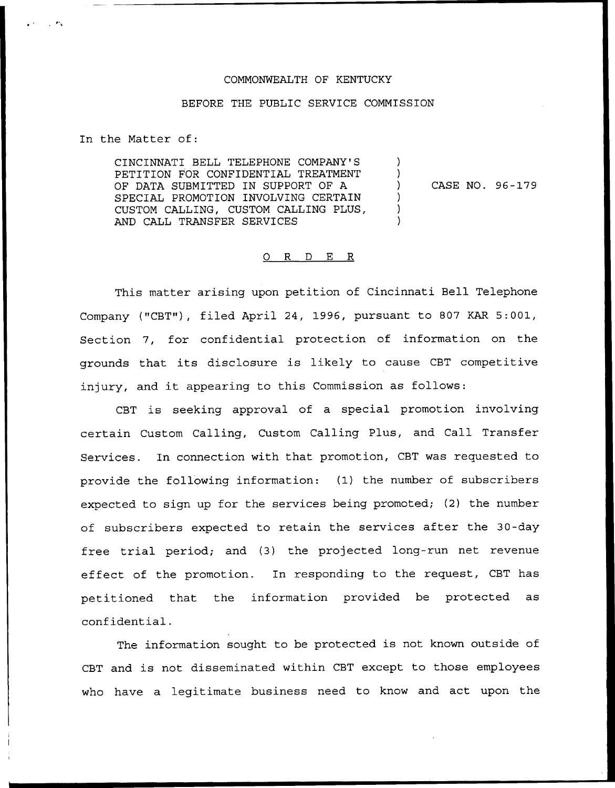## COMMONWEALTH OF KENTUCKY

## BEFORE THE PUBLIC SERVICE COMMISSION

In the Matter of:

CINCINNATI BELL TELEPHONE COMPANY'S PETITION FOR CONFIDENTIAL TREATMENT OF DATA SUBMITTED IN SUPPORT OF A SPECIAL PROMOTION INVOLVING CERTAIN CUSTOM CALLING, CUSTOM CALLING PLUS, AND CALL TRANSFER SERVICES

CASE NO. 96-179

## 0 R <sup>D</sup> E R

This matter arising upon petition of Cincinnati Bell Telephone Company ("CBT"), filed April 24, 1996, pursuant to 807 KAR 5:001, Section 7, for confidential protection of information on the grounds that its disclosure is likely to cause CBT competitive injury, and it appearing to this Commission as follows:

CBT is seeking approval of a special promotion involving certain Custom Calling, Custom Calling Plus, and Call Transfer Services. In connection with that promotion, CBT was requested to provide the following information: (1) the number of subscribers expected to sign up for the services being promoted; (2) the number of subscribers expected to retain the services after the 30-day free trial period; and (3) the projected long-run net revenue effect of the promotion. In responding to the request, CBT has petitioned that the information provided be protected as confidential.

The information sought to be protected is not known outside of CBT and is not disseminated within CBT except to those employees who have a legitimate business need to know and act upon the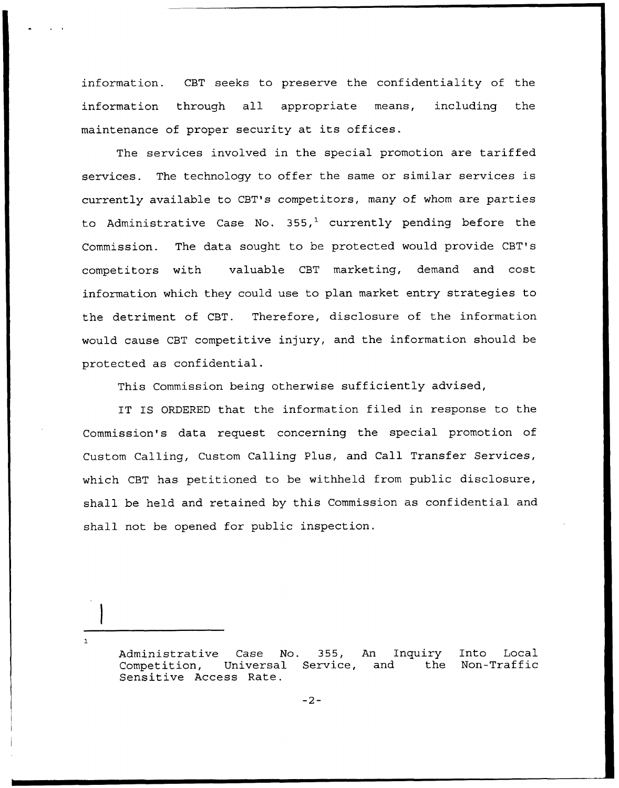information. CBT seeks to preserve the confidentiality of the information through all appropriate means, including the maintenance of proper security at its offices.

The services involved in the special promotion are tariffed services. The technology to offer the same or similar services is currently available to CBT's competitors, many of whom are parties to Administrative Case No. 355,<sup>1</sup> currently pending before the Commission. The data sought to be protected would provide CBT's competitors with valuable CBT marketing, demand and cost information which they could use to plan market entry strategies to the detriment of CBT. Therefore, disclosure of the information would cause CBT competitive injury, and the information should be protected as confidential.

This Commission being otherwise sufficiently advised,

IT IS ORDERED that the information filed in response to the Commission's data request concerning the special promotion of Custom Calling, Custom Calling Plus, and Call Transfer Services, which CBT has petitioned to be withheld from public disclosure, shall be held and retained by this Commission as confidential and shall not be opened for public inspection.

Administrative Case No. 355, An Inquiry Into Local<br>Competition, Universal Service, and the Non-Traffic Competition, Sensitive Access Rate.